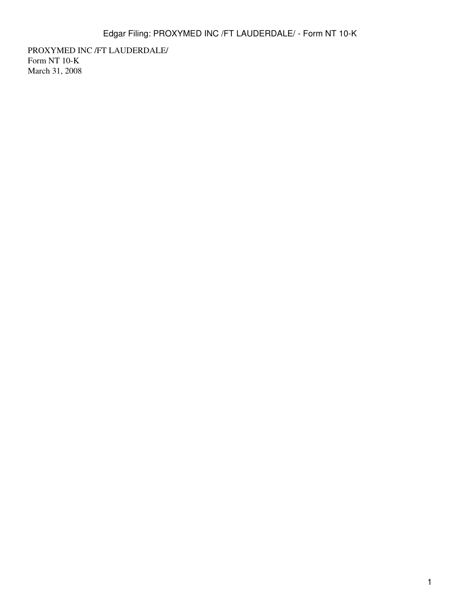PROXYMED INC /FT LAUDERDALE/ Form NT 10-K March 31, 2008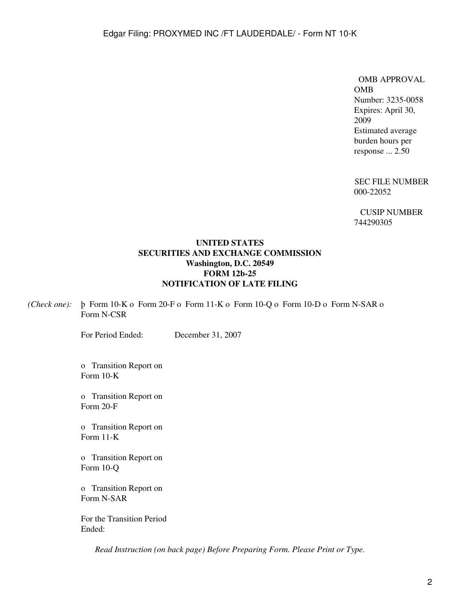OMB APPROVAL OMB Number: 3235-0058 Expires: April 30, 2009 Estimated average burden hours per response ... 2.50

SEC FILE NUMBER 000-22052

CUSIP NUMBER 744290305

## **UNITED STATES SECURITIES AND EXCHANGE COMMISSION Washington, D.C. 20549 FORM 12b-25 NOTIFICATION OF LATE FILING**

*(Check one):* þ Form 10-K o Form 20-F o Form 11-K o Form 10-Q o Form 10-D o Form N-SAR o Form N-CSR

For Period Ended: December 31, 2007

o Transition Report on Form 10-K

o Transition Report on Form 20-F

o Transition Report on Form 11-K

o Transition Report on Form 10-Q

o Transition Report on Form N-SAR

For the Transition Period Ended:

*Read Instruction (on back page) Before Preparing Form. Please Print or Type.*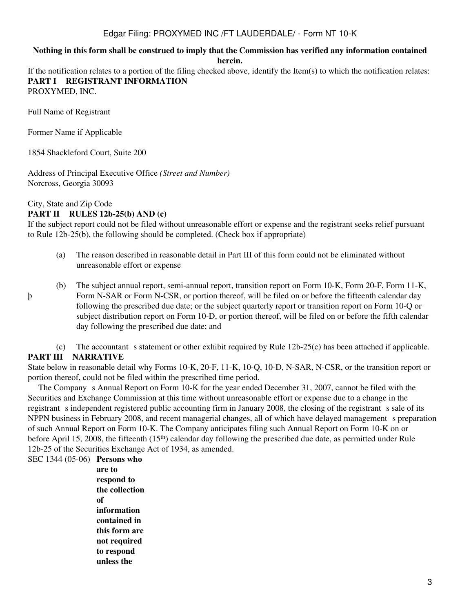## Edgar Filing: PROXYMED INC /FT LAUDERDALE/ - Form NT 10-K

### **Nothing in this form shall be construed to imply that the Commission has verified any information contained herein.**

If the notification relates to a portion of the filing checked above, identify the Item(s) to which the notification relates: **PART I REGISTRANT INFORMATION** PROXYMED, INC.

Full Name of Registrant

Former Name if Applicable

1854 Shackleford Court, Suite 200

Address of Principal Executive Office *(Street and Number)* Norcross, Georgia 30093

## City, State and Zip Code

þ

### **PART II RULES 12b-25(b) AND (c)**

If the subject report could not be filed without unreasonable effort or expense and the registrant seeks relief pursuant to Rule 12b-25(b), the following should be completed. (Check box if appropriate)

- (a) The reason described in reasonable detail in Part III of this form could not be eliminated without unreasonable effort or expense
- (b) The subject annual report, semi-annual report, transition report on Form 10-K, Form 20-F, Form 11-K, Form N-SAR or Form N-CSR, or portion thereof, will be filed on or before the fifteenth calendar day following the prescribed due date; or the subject quarterly report or transition report on Form 10-Q or subject distribution report on Form 10-D, or portion thereof, will be filed on or before the fifth calendar day following the prescribed due date; and

(c) The accountant s statement or other exhibit required by Rule  $12b-25(c)$  has been attached if applicable. **PART III NARRATIVE**

State below in reasonable detail why Forms 10-K, 20-F, 11-K, 10-Q, 10-D, N-SAR, N-CSR, or the transition report or portion thereof, could not be filed within the prescribed time period.

The Company s Annual Report on Form 10-K for the year ended December 31, 2007, cannot be filed with the Securities and Exchange Commission at this time without unreasonable effort or expense due to a change in the registrant s independent registered public accounting firm in January 2008, the closing of the registrant s sale of its NPPN business in February 2008, and recent managerial changes, all of which have delayed management s preparation of such Annual Report on Form 10-K. The Company anticipates filing such Annual Report on Form 10-K on or before April 15, 2008, the fifteenth (15th) calendar day following the prescribed due date, as permitted under Rule 12b-25 of the Securities Exchange Act of 1934, as amended.

SEC 1344 (05-06) **Persons who are to respond to the collection of information contained in this form are not required to respond unless the**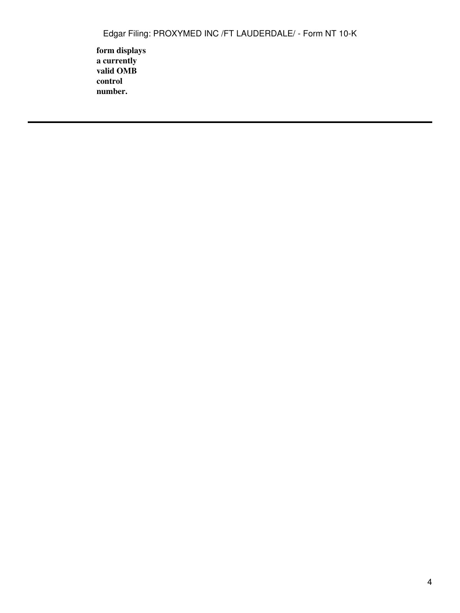**form displays a currently valid OMB control number.**